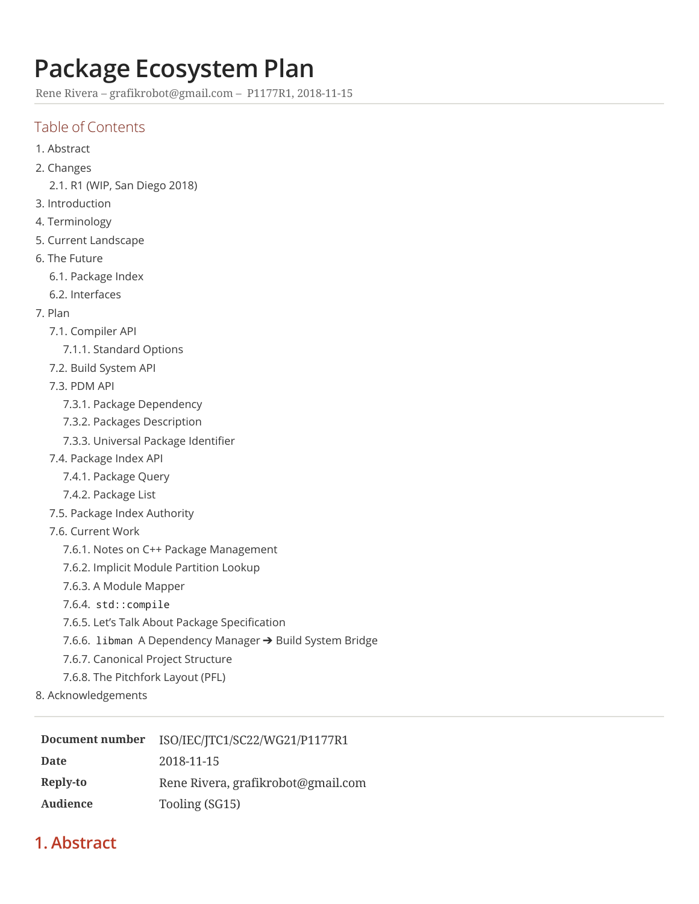# **Package Ecosystem Plan**

Rene Rivera – [grafikrobot@gmail.com](mailto:grafikrobot@gmail.com) – P1177R1, 2018-11-15

# Table of Contents

- [1. Abstract](#page-0-0)
- [2. Changes](#page-1-0)
	- [2.1. R1](#page-1-1) (WIP, San Diego 2018)
- [3. Introduction](#page-1-2)
- [4. Terminology](#page-1-3)
- 5. Current [Landscape](#page-2-0)
- 6. The [Future](#page-3-0)
	- [6.1. Package](#page-3-1) Index
	- [6.2. Interfaces](#page-4-0)
- [7. Plan](#page-6-0)
	- [7.1. Compiler](#page-6-1) API
		- [7.1.1. Standard Options](#page-6-2)
	- [7.2. Build System API](#page-6-3)
	- [7.3. PDM](#page-6-4) API
		- [7.3.1. Package](#page-6-5) Dependency
		- [7.3.2. Packages](#page-7-0) Description
		- [7.3.3. Universal](#page-7-1) Package Identifier
	- [7.4. Package](#page-7-2) Index API
		- [7.4.1. Package](#page-7-3) Query
		- [7.4.2. Package](#page-7-4) List
	- [7.5. Package](#page-7-5) Index Authority
	- [7.6. Current](#page-8-0) Work
		- 7.6.1. Notes on C++ Package [Management](#page-8-1)
		- [7.6.2. Implicit](#page-8-2) Module Partition Lookup
		- 7.6.3. A Module [Mapper](#page-8-3)
		- 7.6.4. [std::compile](#page-8-4)
		- 7.6.5. Let's Talk About Package Specification
		- 7.6.6. libman A Dependency Manager ➔ [Build System Bridge](#page-9-0)
		- [7.6.7. Canonical](#page-9-1) Project Structure
		- 7.6.8. The [Pitchfork Layout](#page-9-2) (PFL)
- [8. Acknowledgements](#page-9-3)

| Document number | ISO/IEC/JTC1/SC22/WG21/P1177R1     |
|-----------------|------------------------------------|
| <b>Date</b>     | 2018-11-15                         |
| Reply-to        | Rene Rivera, grafikrobot@gmail.com |
| Audience        | Tooling (SG15)                     |

# <span id="page-0-0"></span>**1. Abstract**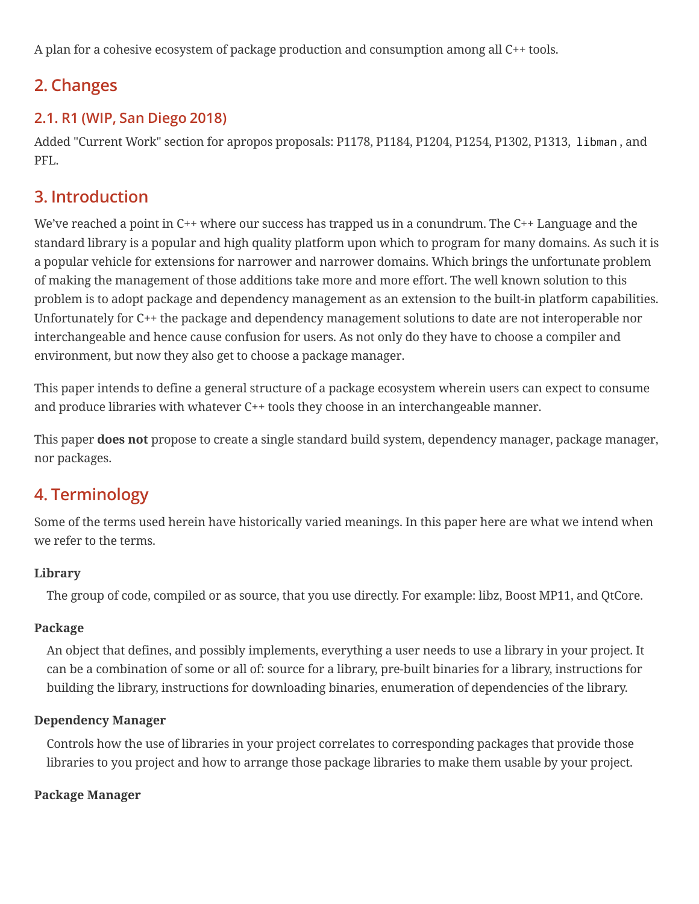A plan for a cohesive ecosystem of package production and consumption among all C++ tools.

# <span id="page-1-0"></span>**2. Changes**

# <span id="page-1-1"></span>**2.1. R1 (WIP, San Diego 2018)**

Added "Current Work" section for apropos proposals: P1178, P1184, P1204, P1254, P1302, P1313, libman , and PFL.

# <span id="page-1-2"></span>**3. Introduction**

We've reached a point in C++ where our success has trapped us in a conundrum. The C++ Language and the standard library is a popular and high quality platform upon which to program for many domains. As such it is a popular vehicle for extensions for narrower and narrower domains. Which brings the unfortunate problem of making the management of those additions take more and more effort. The well known solution to this problem is to adopt package and dependency management as an extension to the built-in platform capabilities. Unfortunately for C++ the package and dependency management solutions to date are not interoperable nor interchangeable and hence cause confusion for users. As not only do they have to choose a compiler and environment, but now they also get to choose a package manager.

This paper intends to define a general structure of a package ecosystem wherein users can expect to consume and produce libraries with whatever C++ tools they choose in an interchangeable manner.

This paper **does not** propose to create a single standard build system, dependency manager, package manager, nor packages.

# <span id="page-1-3"></span>**4. Terminology**

Some of the terms used herein have historically varied meanings. In this paper here are what we intend when we refer to the terms.

#### **Library**

The group of code, compiled or as source, that you use directly. For example: libz, Boost MP11, and QtCore.

#### **Package**

An object that defines, and possibly implements, everything a user needs to use a library in your project. It can be a combination of some or all of: source for a library, pre-built binaries for a library, instructions for building the library, instructions for downloading binaries, enumeration of dependencies of the library.

#### **Dependency Manager**

Controls how the use of libraries in your project correlates to corresponding packages that provide those libraries to you project and how to arrange those package libraries to make them usable by your project.

#### **Package Manager**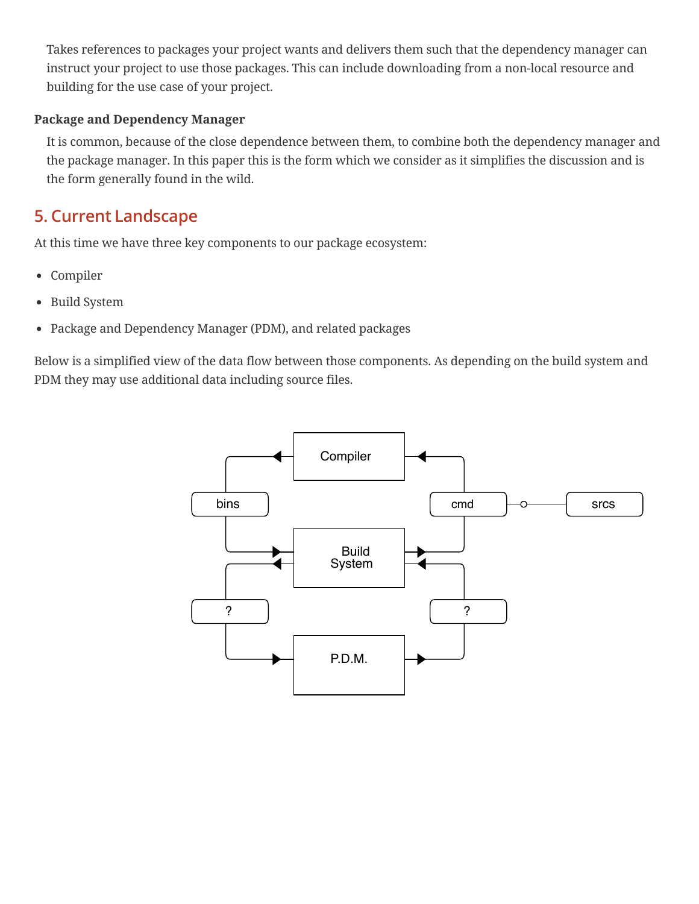Takes references to packages your project wants and delivers them such that the dependency manager can instruct your project to use those packages. This can include downloading from a non-local resource and building for the use case of your project.

#### **Package and Dependency Manager**

It is common, because of the close dependence between them, to combine both the dependency manager and the package manager. In this paper this is the form which we consider as it simplifies the discussion and is the form generally found in the wild.

# <span id="page-2-0"></span>**5. Current Landscape**

At this time we have three key components to our package ecosystem:

- Compiler
- Build System
- Package and Dependency Manager (PDM), and related packages

Below is a simplified view of the data flow between those components. As depending on the build system and PDM they may use additional data including source files.

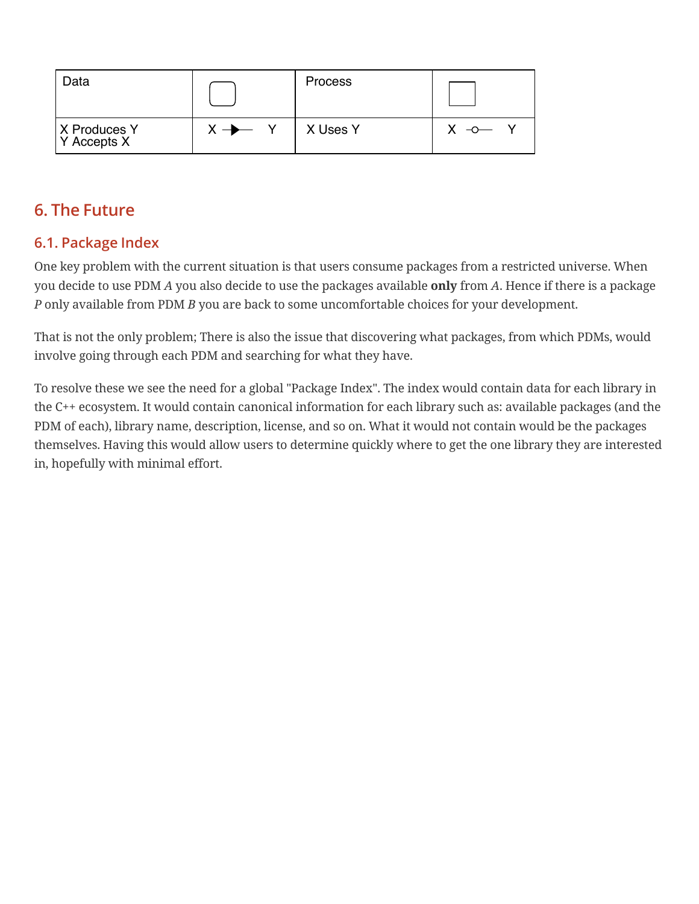| Data                          |                   | <b>Process</b> |  |
|-------------------------------|-------------------|----------------|--|
| X Produces Y<br>$Y$ Accepts X | $X \rightarrow Y$ | X Uses Y       |  |

# <span id="page-3-0"></span>**6. The Future**

# <span id="page-3-1"></span>**6.1. Package Index**

One key problem with the current situation is that users consume packages from a restricted universe. When you decide to use PDM *A* you also decide to use the packages available **only** from *A*. Hence if there is a package *P* only available from PDM *B* you are back to some uncomfortable choices for your development.

That is not the only problem; There is also the issue that discovering what packages, from which PDMs, would involve going through each PDM and searching for what they have.

To resolve these we see the need for a global "Package Index". The index would contain data for each library in the C++ ecosystem. It would contain canonical information for each library such as: available packages (and the PDM of each), library name, description, license, and so on. What it would not contain would be the packages themselves. Having this would allow users to determine quickly where to get the one library they are interested in, hopefully with minimal effort.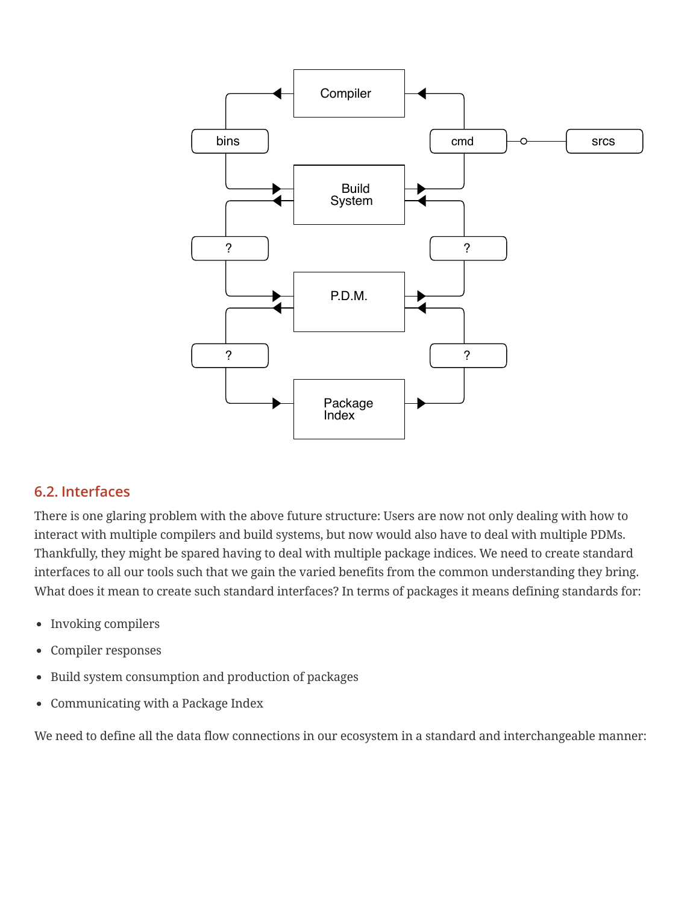

#### <span id="page-4-0"></span>**6.2. Interfaces**

There is one glaring problem with the above future structure: Users are now not only dealing with how to interact with multiple compilers and build systems, but now would also have to deal with multiple PDMs. Thankfully, they might be spared having to deal with multiple package indices. We need to create standard interfaces to all our tools such that we gain the varied benefits from the common understanding they bring. What does it mean to create such standard interfaces? In terms of packages it means defining standards for:

- Invoking compilers
- Compiler responses
- Build system consumption and production of packages
- Communicating with a Package Index

We need to define all the data flow connections in our ecosystem in a standard and interchangeable manner: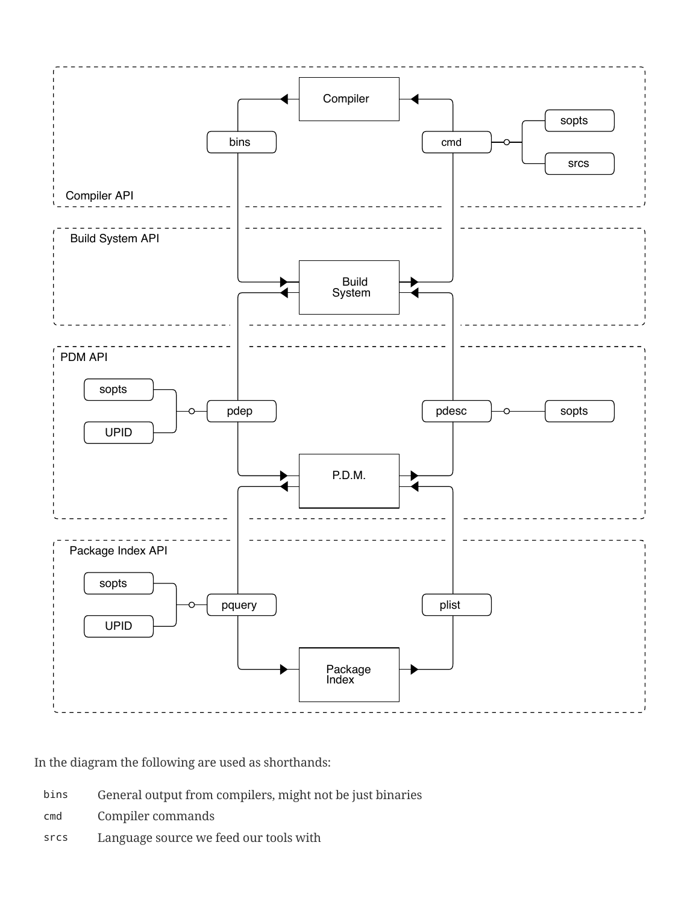

In the diagram the following are used as shorthands:

- bins General output from compilers, might not be just binaries
- cmd Compiler commands
- srcs Language source we feed our tools with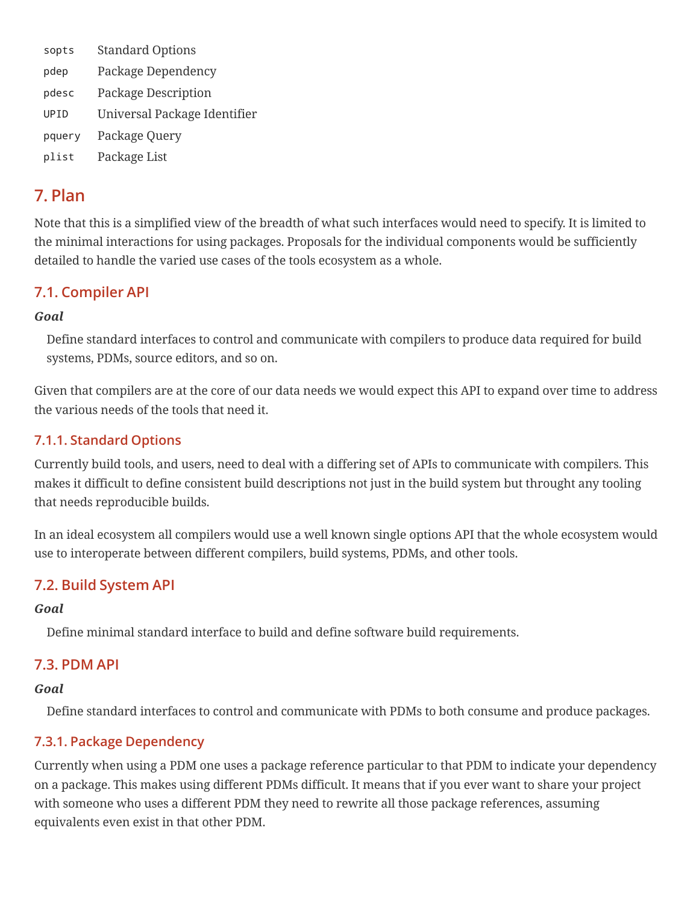| sopts  | <b>Standard Options</b>      |
|--------|------------------------------|
| pdep   | Package Dependency           |
| pdesc  | Package Description          |
| UPID   | Universal Package Identifier |
| pquery | Package Query                |
| plist  | Package List                 |

# <span id="page-6-0"></span>**7. Plan**

Note that this is a simplified view of the breadth of what such interfaces would need to specify. It is limited to the minimal interactions for using packages. Proposals for the individual components would be sufficiently detailed to handle the varied use cases of the tools ecosystem as a whole.

### <span id="page-6-1"></span>**7.1. Compiler API**

#### *Goal*

Define standard interfaces to control and communicate with compilers to produce data required for build systems, PDMs, source editors, and so on.

Given that compilers are at the core of our data needs we would expect this API to expand over time to address the various needs of the tools that need it.

### <span id="page-6-2"></span>**7.1.1. Standard Options**

Currently build tools, and users, need to deal with a differing set of APIs to communicate with compilers. This makes it difficult to define consistent build descriptions not just in the build system but throught any tooling that needs reproducible builds.

In an ideal ecosystem all compilers would use a well known single options API that the whole ecosystem would use to interoperate between different compilers, build systems, PDMs, and other tools.

# <span id="page-6-3"></span>**7.2. Build System API**

#### *Goal*

Define minimal standard interface to build and define software build requirements.

### <span id="page-6-4"></span>**7.3. PDM API**

#### *Goal*

Define standard interfaces to control and communicate with PDMs to both consume and produce packages.

#### <span id="page-6-5"></span>**7.3.1. Package Dependency**

Currently when using a PDM one uses a package reference particular to that PDM to indicate your dependency on a package. This makes using different PDMs difficult. It means that if you ever want to share your project with someone who uses a different PDM they need to rewrite all those package references, assuming equivalents even exist in that other PDM.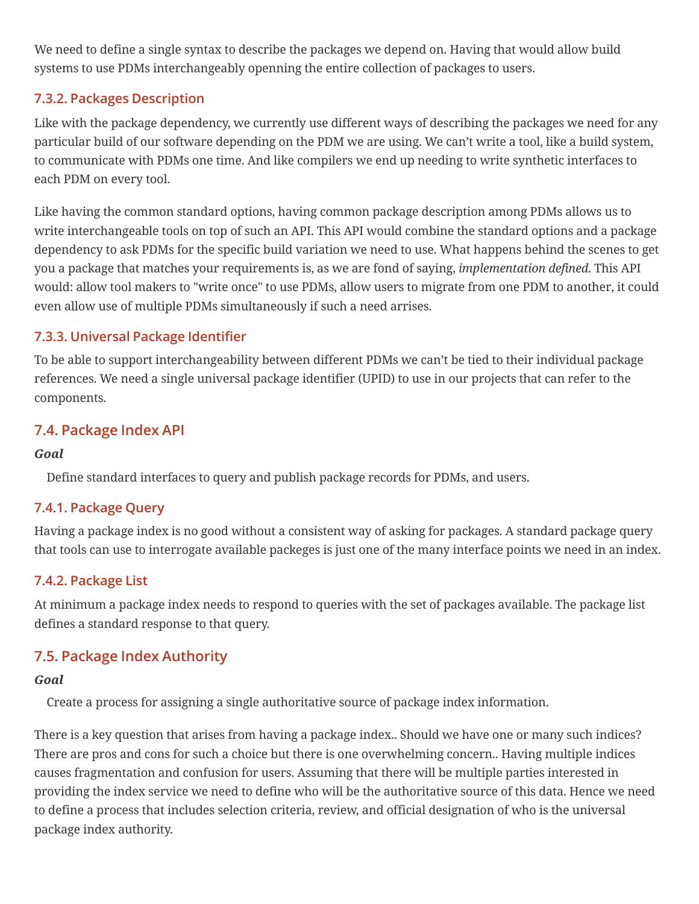We need to define a single syntax to describe the packages we depend on. Having that would allow build systems to use PDMs interchangeably openning the entire collection of packages to users.

### <span id="page-7-0"></span>**7.3.2. Packages Description**

Like with the package dependency, we currently use different ways of describing the packages we need for any particular build of our software depending on the PDM we are using. We can't write a tool, like a build system, to communicate with PDMs one time. And like compilers we end up needing to write synthetic interfaces to each PDM on every tool.

Like having the common standard options, having common package description among PDMs allows us to write interchangeable tools on top of such an API. This API would combine the standard options and a package dependency to ask PDMs for the specific build variation we need to use. What happens behind the scenes to get you a package that matches your requirements is, as we are fond of saying, *implementation defined*. This API would: allow tool makers to "write once" to use PDMs, allow users to migrate from one PDM to another, it could even allow use of multiple PDMs simultaneously if such a need arrises.

### <span id="page-7-1"></span>**7.3.3. Universal Package Identier**

To be able to support interchangeability between different PDMs we can't be tied to their individual package references. We need a single universal package identifier (UPID) to use in our projects that can refer to the components.

# <span id="page-7-2"></span>**7.4. Package Index API**

#### *Goal*

Define standard interfaces to query and publish package records for PDMs, and users.

### <span id="page-7-3"></span>**7.4.1. Package Query**

Having a package index is no good without a consistent way of asking for packages. A standard package query that tools can use to interrogate available packeges is just one of the many interface points we need in an index.

### <span id="page-7-4"></span>**7.4.2. Package List**

At minimum a package index needs to respond to queries with the set of packages available. The package list defines a standard response to that query.

# <span id="page-7-5"></span>**7.5. Package Index Authority**

#### *Goal*

Create a process for assigning a single authoritative source of package index information.

There is a key question that arises from having a package index.. Should we have one or many such indices? There are pros and cons for such a choice but there is one overwhelming concern.. Having multiple indices causes fragmentation and confusion for users. Assuming that there will be multiple parties interested in providing the index service we need to define who will be the authoritative source of this data. Hence we need to define a process that includes selection criteria, review, and official designation of who is the universal package index authority.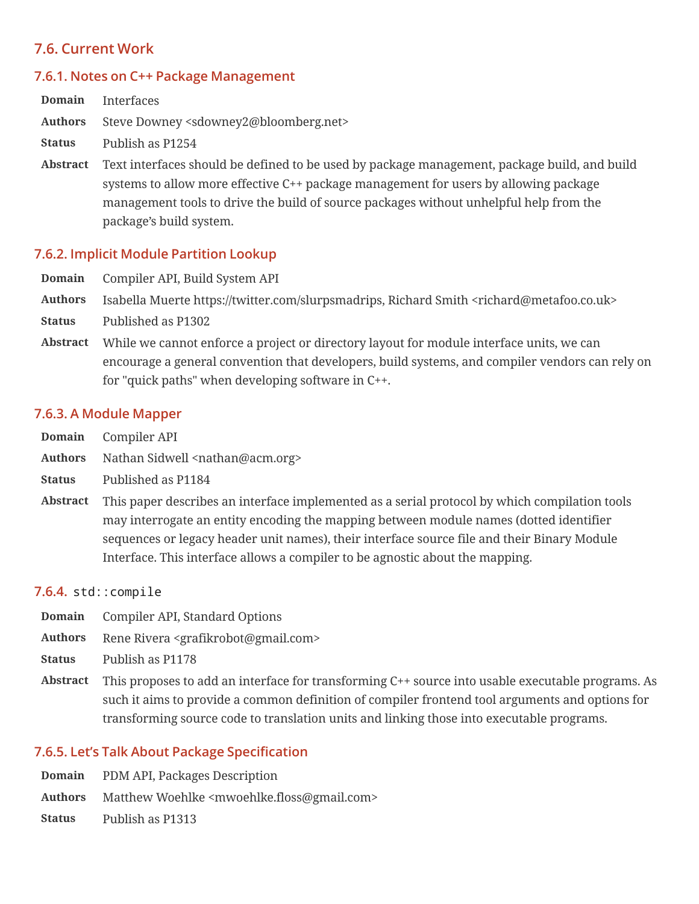### <span id="page-8-0"></span>**7.6. Current Work**

#### <span id="page-8-1"></span>**7.6.1. Notes on C++ Package Management**

| Domain          | Interfaces                                                                                                                                                                                                                                                                                                |
|-----------------|-----------------------------------------------------------------------------------------------------------------------------------------------------------------------------------------------------------------------------------------------------------------------------------------------------------|
| <b>Authors</b>  | Steve Downey <sdowney2@bloomberg.net></sdowney2@bloomberg.net>                                                                                                                                                                                                                                            |
| <b>Status</b>   | Publish as P1254                                                                                                                                                                                                                                                                                          |
| <b>Abstract</b> | Text interfaces should be defined to be used by package management, package build, and build<br>systems to allow more effective C++ package management for users by allowing package<br>management tools to drive the build of source packages without unhelpful help from the<br>package's build system. |

#### <span id="page-8-2"></span>**7.6.2. Implicit Module Partition Lookup**

- **Domain** [Compiler](#page-6-1) API, Build [System](#page-6-3) API
- **Authors** Isabella Muerte [https://twitter.com/slurpsmadrips,](https://twitter.com/slurpsmadrips) Richard Smith <[richard@metafoo.co.uk>](mailto:richard@metafoo.co.uk)
- **Status** Published as P1302
- **Abstract** While we cannot enforce a project or directory layout for module interface units, we can encourage a general convention that developers, build systems, and compiler vendors can rely on for "quick paths" when developing software in C++.

#### <span id="page-8-3"></span>**7.6.3. A Module Mapper**

- **Domain** [Compiler](#page-6-1) API
- Authors Nathan Sidwell <[nathan@acm.org>](mailto:nathan@acm.org)
- **Status** Published as P1184
- **Abstract** This paper describes an interface implemented as a serial protocol by which compilation tools may interrogate an entity encoding the mapping between module names (dotted identifier sequences or legacy header unit names), their interface source file and their Binary Module Interface. This interface allows a compiler to be agnostic about the mapping.

#### <span id="page-8-4"></span>**7.6.4.** std::compile

- **Domain** [Compiler](#page-6-1) API, [Standard](#page-6-2) Options
- **Authors** Rene Rivera <[grafikrobot@gmail.com>](mailto:grafikrobot@gmail.com)
- **Status** Publish as P1178
- **Abstract** This proposes to add an interface for transforming C++ source into usable executable programs. As such it aims to provide a common definition of compiler frontend tool arguments and options for transforming source code to translation units and linking those into executable programs.

#### <span id="page-8-5"></span>**7.6.5. Let's Talk About Package Specication**

- **Domain** [PDM](#page-6-4) API, Packages [Description](#page-7-0)
- **Authors** Matthew Woehlke [<mwoehlke.floss@gmail.com>](mailto:mwoehlke.floss@gmail.com)

**Status** Publish as P1313